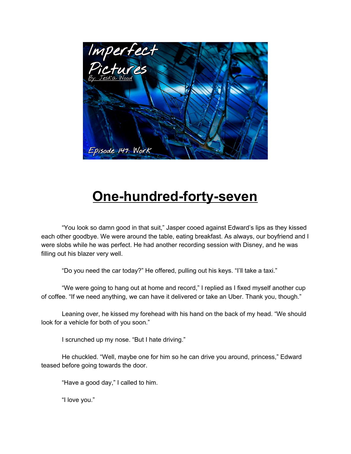

## **One-hundred-forty-seven**

"You look so damn good in that suit," Jasper cooed against Edward's lips as they kissed each other goodbye. We were around the table, eating breakfast. As always, our boyfriend and I were slobs while he was perfect. He had another recording session with Disney, and he was filling out his blazer very well.

"Do you need the car today?" He offered, pulling out his keys. "I'll take a taxi."

"We were going to hang out at home and record," I replied as I fixed myself another cup of coffee. "If we need anything, we can have it delivered or take an Uber. Thank you, though."

Leaning over, he kissed my forehead with his hand on the back of my head. "We should look for a vehicle for both of you soon."

I scrunched up my nose. "But I hate driving."

He chuckled. "Well, maybe one for him so he can drive you around, princess," Edward teased before going towards the door.

"Have a good day," I called to him.

"I love you."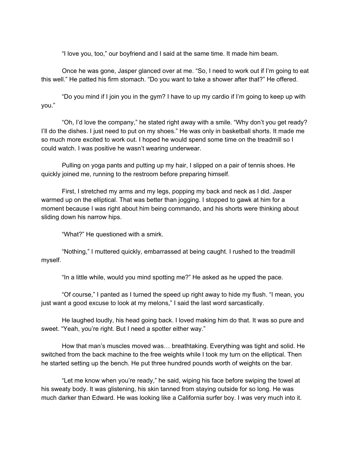"I love you, too," our boyfriend and I said at the same time. It made him beam.

Once he was gone, Jasper glanced over at me. "So, I need to work out if I'm going to eat this well." He patted his firm stomach. "Do you want to take a shower after that?" He offered.

"Do you mind if I join you in the gym? I have to up my cardio if I'm going to keep up with you."

"Oh, I'd love the company," he stated right away with a smile. "Why don't you get ready? I'll do the dishes. I just need to put on my shoes." He was only in basketball shorts. It made me so much more excited to work out. I hoped he would spend some time on the treadmill so I could watch. I was positive he wasn't wearing underwear.

Pulling on yoga pants and putting up my hair, I slipped on a pair of tennis shoes. He quickly joined me, running to the restroom before preparing himself.

First, I stretched my arms and my legs, popping my back and neck as I did. Jasper warmed up on the elliptical. That was better than jogging. I stopped to gawk at him for a moment because I was right about him being commando, and his shorts were thinking about sliding down his narrow hips.

"What?" He questioned with a smirk.

"Nothing," I muttered quickly, embarrassed at being caught. I rushed to the treadmill myself.

"In a little while, would you mind spotting me?" He asked as he upped the pace.

"Of course," I panted as I turned the speed up right away to hide my flush. "I mean, you just want a good excuse to look at my melons," I said the last word sarcastically.

He laughed loudly, his head going back. I loved making him do that. It was so pure and sweet. "Yeah, you're right. But I need a spotter either way."

How that man's muscles moved was… breathtaking. Everything was tight and solid. He switched from the back machine to the free weights while I took my turn on the elliptical. Then he started setting up the bench. He put three hundred pounds worth of weights on the bar.

"Let me know when you're ready," he said, wiping his face before swiping the towel at his sweaty body. It was glistening, his skin tanned from staying outside for so long. He was much darker than Edward. He was looking like a California surfer boy. I was very much into it.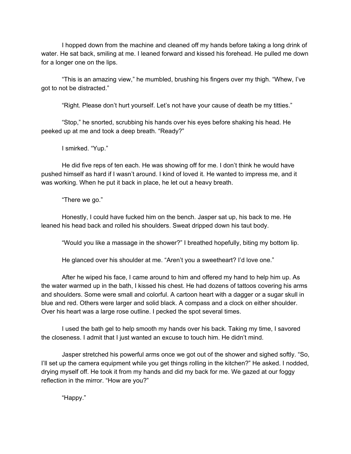I hopped down from the machine and cleaned off my hands before taking a long drink of water. He sat back, smiling at me. I leaned forward and kissed his forehead. He pulled me down for a longer one on the lips.

"This is an amazing view," he mumbled, brushing his fingers over my thigh. "Whew, I've got to not be distracted."

"Right. Please don't hurt yourself. Let's not have your cause of death be my titties."

"Stop," he snorted, scrubbing his hands over his eyes before shaking his head. He peeked up at me and took a deep breath. "Ready?"

I smirked. "Yup."

He did five reps of ten each. He was showing off for me. I don't think he would have pushed himself as hard if I wasn't around. I kind of loved it. He wanted to impress me, and it was working. When he put it back in place, he let out a heavy breath.

"There we go."

Honestly, I could have fucked him on the bench. Jasper sat up, his back to me. He leaned his head back and rolled his shoulders. Sweat dripped down his taut body.

"Would you like a massage in the shower?" I breathed hopefully, biting my bottom lip.

He glanced over his shoulder at me. "Aren't you a sweetheart? I'd love one."

After he wiped his face, I came around to him and offered my hand to help him up. As the water warmed up in the bath, I kissed his chest. He had dozens of tattoos covering his arms and shoulders. Some were small and colorful. A cartoon heart with a dagger or a sugar skull in blue and red. Others were larger and solid black. A compass and a clock on either shoulder. Over his heart was a large rose outline. I pecked the spot several times.

I used the bath gel to help smooth my hands over his back. Taking my time, I savored the closeness. I admit that I just wanted an excuse to touch him. He didn't mind.

Jasper stretched his powerful arms once we got out of the shower and sighed softly. "So, I'll set up the camera equipment while you get things rolling in the kitchen?" He asked. I nodded, drying myself off. He took it from my hands and did my back for me. We gazed at our foggy reflection in the mirror. "How are you?"

"Happy."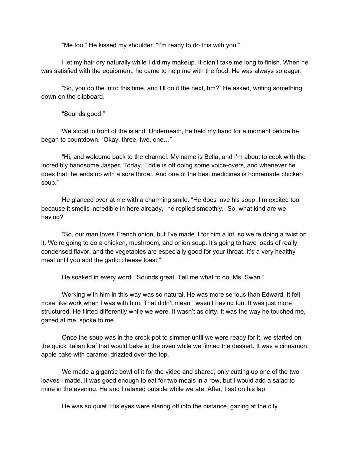"Me too." He kissed my shoulder. "I'm ready to do this with you."

I let my hair dry naturally while I did my makeup. It didn't take me long to finish. When he was satisfied with the equipment, he came to help me with the food. He was always so eager.

"So, you do the intro this time, and I'll do it the next, hm?" He asked, writing something down on the clipboard.

"Sounds good."

We stood in front of the island. Underneath, he held my hand for a moment before he began to countdown. "Okay, three, two, one…"

"Hi, and welcome back to the channel. My name is Bella, and I'm about to cook with the incredibly handsome Jasper. Today, Eddie is off doing some voice-overs, and whenever he does that, he ends up with a sore throat. And one of the best medicines is homemade chicken soup."

He glanced over at me with a charming smile. "He does love his soup. I'm excited too because it smells incredible in here already," he replied smoothly. "So, what kind are we having?"

"So, our man loves French onion, but I've made it for him a lot, so we're doing a twist on it. We're going to do a chicken, mushroom, and onion soup. It's going to have loads of really condensed flavor, and the vegetables are especially good for your throat. It's a very healthy meal until you add the garlic cheese toast."

He soaked in every word. "Sounds great. Tell me what to do, Ms. Swan."

Working with him in this way was so natural. He was more serious than Edward. It felt more like work when I was with him. That didn't mean I wasn't having fun. It was just more structured. He flirted differently while we were. It wasn't as dirty. It was the way he touched me, gazed at me, spoke to me.

Once the soup was in the crock-pot to simmer until we were ready for it, we started on the quick Italian loaf that would bake in the oven while we filmed the dessert. It was a cinnamon apple cake with caramel drizzled over the top.

We made a gigantic bowl of it for the video and shared, only cutting up one of the two loaves I made. It was good enough to eat for two meals in a row, but I would add a salad to mine in the evening. He and I relaxed outside while we ate. After, I sat on his lap.

He was so quiet. His eyes were staring off into the distance, gazing at the city.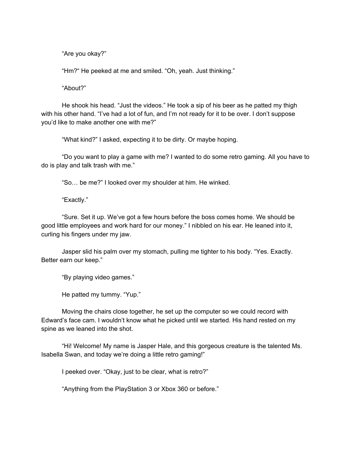"Are you okay?"

"Hm?" He peeked at me and smiled. "Oh, yeah. Just thinking."

"About?"

He shook his head. "Just the videos." He took a sip of his beer as he patted my thigh with his other hand. "I've had a lot of fun, and I'm not ready for it to be over. I don't suppose you'd like to make another one with me?"

"What kind?" I asked, expecting it to be dirty. Or maybe hoping.

"Do you want to play a game with me? I wanted to do some retro gaming. All you have to do is play and talk trash with me."

"So… be me?" I looked over my shoulder at him. He winked.

"Exactly."

"Sure. Set it up. We've got a few hours before the boss comes home. We should be good little employees and work hard for our money." I nibbled on his ear. He leaned into it, curling his fingers under my jaw.

Jasper slid his palm over my stomach, pulling me tighter to his body. "Yes. Exactly. Better earn our keep."

"By playing video games."

He patted my tummy. "Yup."

Moving the chairs close together, he set up the computer so we could record with Edward's face cam. I wouldn't know what he picked until we started. His hand rested on my spine as we leaned into the shot.

"Hi! Welcome! My name is Jasper Hale, and this gorgeous creature is the talented Ms. Isabella Swan, and today we're doing a little retro gaming!"

I peeked over. "Okay, just to be clear, what is retro?"

"Anything from the PlayStation 3 or Xbox 360 or before."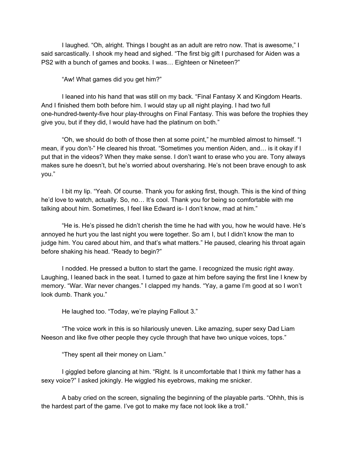I laughed. "Oh, alright. Things I bought as an adult are retro now. That is awesome," I said sarcastically. I shook my head and sighed. "The first big gift I purchased for Aiden was a PS2 with a bunch of games and books. I was… Eighteen or Nineteen?"

"Aw! What games did you get him?"

I leaned into his hand that was still on my back. "Final Fantasy X and Kingdom Hearts. And I finished them both before him. I would stay up all night playing. I had two full one-hundred-twenty-five hour play-throughs on Final Fantasy. This was before the trophies they give you, but if they did, I would have had the platinum on both."

"Oh, we should do both of those then at some point," he mumbled almost to himself. "I mean, if you don't-" He cleared his throat. "Sometimes you mention Aiden, and… is it okay if I put that in the videos? When they make sense. I don't want to erase who you are. Tony always makes sure he doesn't, but he's worried about oversharing. He's not been brave enough to ask you."

I bit my lip. "Yeah. Of course. Thank you for asking first, though. This is the kind of thing he'd love to watch, actually. So, no... It's cool. Thank you for being so comfortable with me talking about him. Sometimes, I feel like Edward is- I don't know, mad at him."

"He is. He's pissed he didn't cherish the time he had with you, how he would have. He's annoyed he hurt you the last night you were together. So am I, but I didn't know the man to judge him. You cared about him, and that's what matters." He paused, clearing his throat again before shaking his head. "Ready to begin?"

I nodded. He pressed a button to start the game. I recognized the music right away. Laughing, I leaned back in the seat. I turned to gaze at him before saying the first line I knew by memory. "War. War never changes." I clapped my hands. "Yay, a game I'm good at so I won't look dumb. Thank you."

He laughed too. "Today, we're playing Fallout 3."

"The voice work in this is so hilariously uneven. Like amazing, super sexy Dad Liam Neeson and like five other people they cycle through that have two unique voices, tops."

"They spent all their money on Liam."

I giggled before glancing at him. "Right. Is it uncomfortable that I think my father has a sexy voice?" I asked jokingly. He wiggled his eyebrows, making me snicker.

A baby cried on the screen, signaling the beginning of the playable parts. "Ohhh, this is the hardest part of the game. I've got to make my face not look like a troll."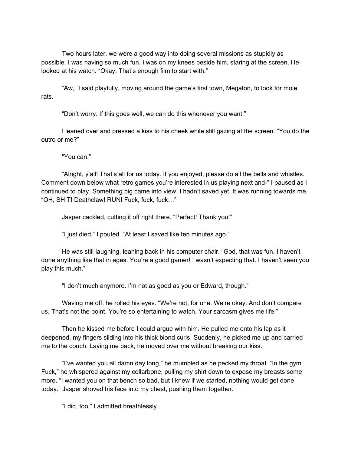Two hours later, we were a good way into doing several missions as stupidly as possible. I was having so much fun. I was on my knees beside him, staring at the screen. He looked at his watch. "Okay. That's enough film to start with."

"Aw," I said playfully, moving around the game's first town, Megaton, to look for mole rats.

"Don't worry. If this goes well, we can do this whenever you want."

I leaned over and pressed a kiss to his cheek while still gazing at the screen. "You do the outro or me?"

"You can."

"Alright, y'all! That's all for us today. If you enjoyed, please do all the bells and whistles. Comment down below what retro games you're interested in us playing next and-" I paused as I continued to play. Something big came into view. I hadn't saved yet. It was running towards me. "OH, SHIT! Deathclaw! RUN! Fuck, fuck, fuck…"

Jasper cackled, cutting it off right there. "Perfect! Thank you!"

"I just died," I pouted. "At least I saved like ten minutes ago."

He was still laughing, leaning back in his computer chair. "God, that was fun. I haven't done anything like that in ages. You're a good gamer! I wasn't expecting that. I haven't seen you play this much."

"I don't much anymore. I'm not as good as you or Edward, though."

Waving me off, he rolled his eyes. "We're not, for one. We're okay. And don't compare us. That's not the point. You're so entertaining to watch. Your sarcasm gives me life."

Then he kissed me before I could argue with him. He pulled me onto his lap as it deepened, my fingers sliding into his thick blond curls. Suddenly, he picked me up and carried me to the couch. Laying me back, he moved over me without breaking our kiss.

"I've wanted you all damn day long," he mumbled as he pecked my throat. "In the gym. Fuck," he whispered against my collarbone, pulling my shirt down to expose my breasts some more. "I wanted you on that bench so bad, but I knew if we started, nothing would get done today." Jasper shoved his face into my chest, pushing them together.

"I did, too," I admitted breathlessly.